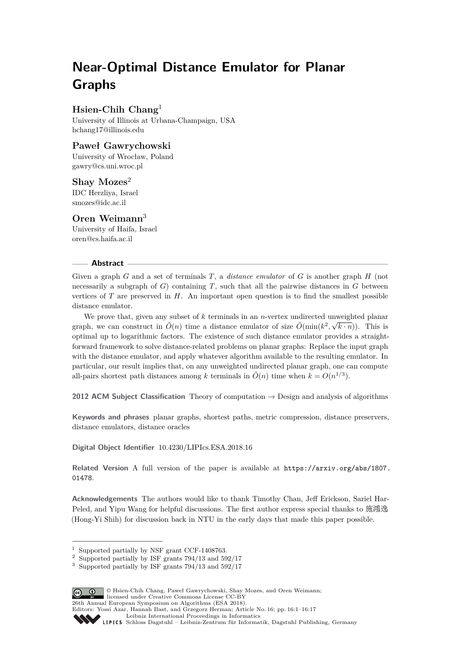# **Near-Optimal Distance Emulator for Planar Graphs**

# **Hsien-Chih Chang**<sup>1</sup>

University of Illinois at Urbana-Champaign, USA [hchang17@illinois.edu](mailto:hchang17@illinois.edu)

# **Paweł Gawrychowski**

University of Wrocław, Poland [gawry@cs.uni.wroc.pl](mailto:gawry@cs.uni.wroc.pl)

## **Shay Mozes**<sup>2</sup>

IDC Herzliya, Israel [smozes@idc.ac.il](mailto:smozes@idc.ac.il)

# **Oren Weimann**<sup>3</sup>

University of Haifa, Israel [oren@cs.haifa.ac.il](mailto:oren@cs.haifa.ac.il)

## **Abstract**

Given a graph *G* and a set of terminals *T*, a *distance emulator* of *G* is another graph *H* (not necessarily a subgraph of  $G$ ) containing  $T$ , such that all the pairwise distances in  $G$  between vertices of *T* are preserved in *H*. An important open question is to find the smallest possible distance emulator.

We prove that, given any subset of *k* terminals in an *n*-vertex undirected unweighted planar graph, we can construct in  $\tilde{O}(n)$  time a distance emulator of size  $\tilde{O}(\min(k^2, \sqrt{k \cdot n}))$ . This is optimal up to logarithmic factors. The existence of such distance emulator provides a straightforward framework to solve distance-related problems on planar graphs: Replace the input graph with the distance emulator, and apply whatever algorithm available to the resulting emulator. In particular, our result implies that, on any unweighted undirected planar graph, one can compute all-pairs shortest path distances among *k* terminals in  $\tilde{O}(n)$  time when  $k = O(n^{1/3})$ .

**2012 ACM Subject Classification** Theory of computation → Design and analysis of algorithms

**Keywords and phrases** planar graphs, shortest paths, metric compression, distance preservers, distance emulators, distance oracles

**Digital Object Identifier** [10.4230/LIPIcs.ESA.2018.16](http://dx.doi.org/10.4230/LIPIcs.ESA.2018.16)

Related Version A full version of the paper is available at [https://arxiv.org/abs/1807.](https://arxiv.org/abs/1807.01478) [01478](https://arxiv.org/abs/1807.01478).

**Acknowledgements** The authors would like to thank Timothy Chan, Jeff Erickson, Sariel Har-Peled, and Yipu Wang for helpful discussions. The first author express special thanks to 施鴻逸 (Hong-Yi Shih) for discussion back in NTU in the early days that made this paper possible.

<sup>3</sup> Supported partially by ISF grants 794/13 and 592/17



© Hsien-Chih Chang, Paweł Gawrychowski, Shay Mozes, and Oren Weimann;  $\boxed{6}$  0 licensed under Creative Commons License CC-BY 26th Annual European Symposium on Algorithms (ESA 2018).

Editors: Yossi Azar, Hannah Bast, and Grzegorz Herman; Article No. 16; pp. 16:1–16[:17](#page-16-0)

[Leibniz International Proceedings in Informatics](http://www.dagstuhl.de/lipics/)

<sup>1</sup> Supported partially by NSF grant CCF-1408763.

<sup>2</sup> Supported partially by ISF grants 794/13 and 592/17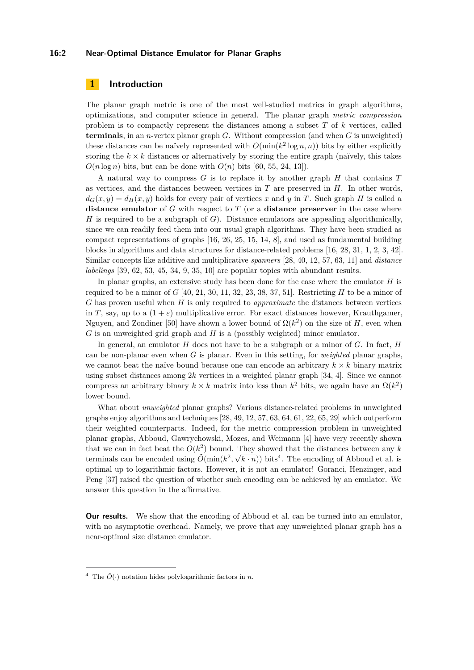## **16:2 Near-Optimal Distance Emulator for Planar Graphs**

# **1 Introduction**

The planar graph metric is one of the most well-studied metrics in graph algorithms, optimizations, and computer science in general. The planar graph *metric compression* problem is to compactly represent the distances among a subset *T* of *k* vertices, called **terminals**, in an *n*-vertex planar graph *G*. Without compression (and when *G* is unweighted) these distances can be naïvely represented with  $O(\min(k^2 \log n, n))$  bits by either explicitly storing the  $k \times k$  distances or alternatively by storing the entire graph (naïvely, this takes  $O(n \log n)$  bits, but can be done with  $O(n)$  bits [\[60,](#page-16-1) [55,](#page-15-0) [24,](#page-14-0) [13\]](#page-13-0)).

A natural way to compress *G* is to replace it by another graph *H* that contains *T* as vertices, and the distances between vertices in *T* are preserved in *H*. In other words,  $d_G(x, y) = d_H(x, y)$  holds for every pair of vertices x and y in T. Such graph *H* is called a **distance emulator** of *G* with respect to *T* (or a **distance preserver** in the case where *H* is required to be a subgraph of *G*). Distance emulators are appealing algorithmically, since we can readily feed them into our usual graph algorithms. They have been studied as compact representations of graphs [\[16,](#page-14-1) [26,](#page-14-2) [25,](#page-14-3) [15,](#page-14-4) [14,](#page-13-1) [8\]](#page-13-2), and used as fundamental building blocks in algorithms and data structures for distance-related problems [\[16,](#page-14-1) [28,](#page-14-5) [31,](#page-14-6) [1,](#page-13-3) [2,](#page-13-4) [3,](#page-13-5) [42\]](#page-15-1). Similar concepts like additive and multiplicative *spanners* [\[28,](#page-14-5) [40,](#page-15-2) [12,](#page-13-6) [57,](#page-15-3) [63,](#page-16-2) [11\]](#page-13-7) and *distance labelings* [\[39,](#page-15-4) [62,](#page-16-3) [53,](#page-15-5) [45,](#page-15-6) [34,](#page-14-7) [9,](#page-13-8) [35,](#page-14-8) [10\]](#page-13-9) are popular topics with abundant results.

In planar graphs, an extensive study has been done for the case where the emulator *H* is required to be a minor of  $G$  [\[40,](#page-15-2) [21,](#page-14-9) [30,](#page-14-10) [11,](#page-13-7) [32,](#page-14-11) [23,](#page-14-12) [38,](#page-15-7) [37,](#page-15-8) [51\]](#page-15-9). Restricting  $H$  to be a minor of *G* has proven useful when *H* is only required to *approximate* the distances between vertices in *T*, say, up to a  $(1 + \varepsilon)$  multiplicative error. For exact distances however, Krauthgamer, Nguyen, and Zondiner [\[50\]](#page-15-10) have shown a lower bound of  $\Omega(k^2)$  on the size of *H*, even when *G* is an unweighted grid graph and *H* is a (possibly weighted) minor emulator.

In general, an emulator *H* does not have to be a subgraph or a minor of *G*. In fact, *H* can be non-planar even when *G* is planar. Even in this setting, for *weighted* planar graphs, we cannot beat the naïve bound because one can encode an arbitrary  $k \times k$  binary matrix using subset distances among 2*k* vertices in a weighted planar graph [\[34,](#page-14-7) [4\]](#page-13-10). Since we cannot compress an arbitrary binary  $k \times k$  matrix into less than  $k^2$  bits, we again have an  $\Omega(k^2)$ lower bound.

What about *unweighted* planar graphs? Various distance-related problems in unweighted graphs enjoy algorithms and techniques [\[28,](#page-14-5) [49,](#page-15-11) [12,](#page-13-6) [57,](#page-15-3) [63,](#page-16-2) [64,](#page-16-4) [61,](#page-16-5) [22,](#page-14-13) [65,](#page-16-6) [29\]](#page-14-14) which outperform their weighted counterparts. Indeed, for the metric compression problem in unweighted planar graphs, Abboud, Gawrychowski, Mozes, and Weimann [\[4\]](#page-13-10) have very recently shown that we can in fact beat the  $O(k^2)$  bound. They showed that the distances between any *k* terminals can be encoded using  $\tilde{O}(\min(k^2, \sqrt{k \cdot n}))$  bits<sup>[4](#page-1-0)</sup>. The encoding of Abboud et al. is optimal up to logarithmic factors. However, it is not an emulator! Goranci, Henzinger, and Peng [\[37\]](#page-15-8) raised the question of whether such encoding can be achieved by an emulator. We answer this question in the affirmative.

**Our results.** We show that the encoding of Abboud et al. can be turned into an emulator, with no asymptotic overhead. Namely, we prove that any unweighted planar graph has a near-optimal size distance emulator.

<span id="page-1-0"></span><sup>&</sup>lt;sup>4</sup> The  $\tilde{O}(\cdot)$  notation hides polylogarithmic factors in *n*.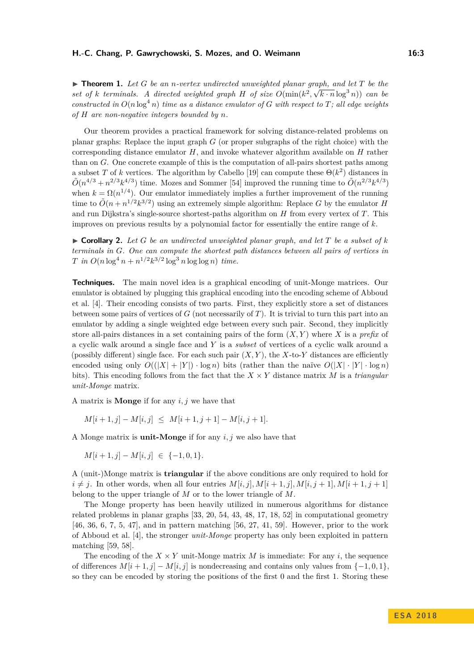<span id="page-2-1"></span> $\blacktriangleright$  **Theorem 1.** Let *G* be an *n*-vertex undirected unweighted planar graph, and let *T* be the set of *k terminals.* A directed weighted graph *H* of size  $O(\min(k^2, \sqrt{k \cdot n} \log^3 n))$  can be *constructed in*  $O(n \log^4 n)$  *time as a distance emulator of G with respect to T; all edge weights of H are non-negative integers bounded by n.*

Our theorem provides a practical framework for solving distance-related problems on planar graphs: Replace the input graph *G* (or proper subgraphs of the right choice) with the corresponding distance emulator *H*, and invoke whatever algorithm available on *H* rather than on *G*. One concrete example of this is the computation of all-pairs shortest paths among a subset *T* of *k* vertices. The algorithm by Cabello [\[19\]](#page-14-15) can compute these  $\Theta(k^2)$  distances in  $\tilde{O}(n^{4/3} + n^{2/3}k^{4/3})$  time. Mozes and Sommer [\[54\]](#page-15-12) improved the running time to  $\tilde{O}(n^{2/3}k^{4/3})$ when  $k = \Omega(n^{1/4})$ . Our emulator immediately implies a further improvement of the running time to  $\tilde{O}(n + n^{1/2}k^{3/2})$  using an extremely simple algorithm: Replace *G* by the emulator *H* and run Dijkstra's single-source shortest-paths algorithm on *H* from every vertex of *T*. This improves on previous results by a polynomial factor for essentially the entire range of *k*.

<span id="page-2-0"></span> $\triangleright$  **Corollary 2.** Let G be an undirected unweighted planar graph, and let T be a subset of k *terminals in G. One can compute the shortest path distances between all pairs of vertices in T in*  $O(n \log^4 n + n^{1/2} k^{3/2} \log^3 n \log \log n)$  *time.* 

**Techniques.** The main novel idea is a graphical encoding of unit-Monge matrices. Our emulator is obtained by plugging this graphical encoding into the encoding scheme of Abboud et al. [\[4\]](#page-13-10). Their encoding consists of two parts. First, they explicitly store a set of distances between some pairs of vertices of *G* (not necessarily of *T*). It is trivial to turn this part into an emulator by adding a single weighted edge between every such pair. Second, they implicitly store all-pairs distances in a set containing pairs of the form (*X, Y* ) where *X* is a *prefix* of a cyclic walk around a single face and *Y* is a *subset* of vertices of a cyclic walk around a (possibly different) single face. For each such pair  $(X, Y)$ , the  $X$ -to- $Y$  distances are efficiently encoded using only  $O((|X| + |Y|) \cdot \log n)$  bits (rather than the naïve  $O(|X| \cdot |Y| \cdot \log n)$ bits). This encoding follows from the fact that the  $X \times Y$  distance matrix *M* is a *triangular unit-Monge* matrix.

A matrix is **Monge** if for any *i, j* we have that

$$
M[i+1,j] - M[i,j] \leq M[i+1,j+1] - M[i,j+1].
$$

A Monge matrix is **unit-Monge** if for any *i, j* we also have that

$$
M[i+1,j] - M[i,j] \in \{-1,0,1\}.
$$

A (unit-)Monge matrix is **triangular** if the above conditions are only required to hold for  $i \neq j$ . In other words, when all four entries  $M[i, j]$ ,  $M[i + 1, j]$ ,  $M[i, j + 1]$ ,  $M[i + 1, j + 1]$ belong to the upper triangle of *M* or to the lower triangle of *M*.

The Monge property has been heavily utilized in numerous algorithms for distance related problems in planar graphs [\[33,](#page-14-16) [20,](#page-14-17) [54,](#page-15-12) [43,](#page-15-13) [48,](#page-15-14) [17,](#page-14-18) [18,](#page-14-19) [52\]](#page-15-15) in computational geometry [\[46,](#page-15-16) [36,](#page-14-20) [6,](#page-13-11) [7,](#page-13-12) [5,](#page-13-13) [47\]](#page-15-17), and in pattern matching [\[56,](#page-15-18) [27,](#page-14-21) [41,](#page-15-19) [59\]](#page-16-7). However, prior to the work of Abboud et al. [\[4\]](#page-13-10), the stronger *unit-Monge* property has only been exploited in pattern matching [\[59,](#page-16-7) [58\]](#page-15-20).

The encoding of the  $X \times Y$  unit-Monge matrix M is immediate: For any *i*, the sequence of differences  $M[i + 1, j] - M[i, j]$  is nondecreasing and contains only values from  $\{-1, 0, 1\}$ , so they can be encoded by storing the positions of the first 0 and the first 1. Storing these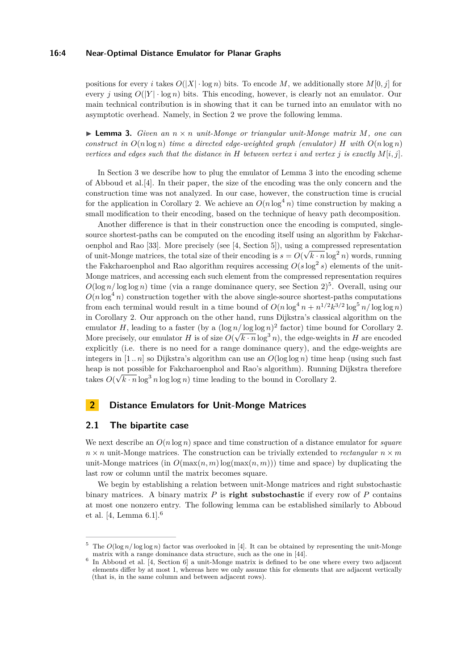## **16:4 Near-Optimal Distance Emulator for Planar Graphs**

positions for every *i* takes  $O(|X| \cdot \log n)$  bits. To encode M, we additionally store  $M[0, j]$  for every *j* using  $O(|Y| \cdot \log n)$  bits. This encoding, however, is clearly not an emulator. Our main technical contribution is in showing that it can be turned into an emulator with no asymptotic overhead. Namely, in Section [2](#page-3-0) we prove the following lemma.

<span id="page-3-1"></span> $\triangleright$  **Lemma 3.** *Given an*  $n \times n$  *unit-Monge or triangular unit-Monge matrix M*, *one can construct in*  $O(n \log n)$  *time a directed edge-weighted graph (emulator) H with*  $O(n \log n)$ *vertices and edges such that the distance in*  $H$  *between vertex i and vertex j is exactly*  $M[i, j]$ *.* 

In Section [3](#page-7-0) we describe how to plug the emulator of Lemma [3](#page-3-1) into the encoding scheme of Abboud et al.[\[4\]](#page-13-10). In their paper, the size of the encoding was the only concern and the construction time was not analyzed. In our case, however, the construction time is crucial for the application in Corollary [2.](#page-2-0) We achieve an  $O(n \log^4 n)$  time construction by making a small modification to their encoding, based on the technique of heavy path decomposition.

Another difference is that in their construction once the encoding is computed, singlesource shortest-paths can be computed on the encoding itself using an algorithm by Fakchar-oenphol and Rao [\[33\]](#page-14-16). More precisely (see [\[4,](#page-13-10) Section 5]), using a compressed representation of unit-Monge matrices, the total size of their encoding is  $s = O(\sqrt{k \cdot n} \log^2 n)$  words, running the Fakcharoenphol and Rao algorithm requires accessing  $O(s \log^2 s)$  elements of the unit-Monge matrices, and accessing each such element from the compressed representation requires  $O(\log n/\log \log n)$  time (via a range dominance query, see Section [2\)](#page-3-0)<sup>[5](#page-3-2)</sup>. Overall, using our  $O(n \log^4 n)$  construction together with the above single-source shortest-paths computations from each terminal would result in a time bound of  $O(n \log^4 n + n^{1/2} k^{3/2} \log^5 n / \log \log n)$ in Corollary [2.](#page-2-0) Our approach on the other hand, runs Dijkstra's classical algorithm on the emulator *H*, leading to a faster (by a  $(\log n / \log \log n)^2$  factor) time bound for Corollary [2.](#page-2-0) More precisely, our emulator *H* is of size  $O(\sqrt{k \cdot n} \log^3 n)$ , the edge-weights in *H* are encoded explicitly (i.e. there is no need for a range dominance query), and the edge-weights are integers in  $[1..n]$  so Dijkstra's algorithm can use an  $O(\log \log n)$  time heap (using such fast heap is not possible for Fakcharoenphol and Rao's algorithm). Running Dijkstra therefore takes  $O(\sqrt{k \cdot n} \log^3 n \log \log n)$  time leading to the bound in Corollary [2.](#page-2-0)

# <span id="page-3-0"></span>**2 Distance Emulators for Unit-Monge Matrices**

# **2.1 The bipartite case**

We next describe an *O*(*n* log *n*) space and time construction of a distance emulator for *square*  $n \times n$  unit-Monge matrices. The construction can be trivially extended to *rectangular*  $n \times m$ unit-Monge matrices (in  $O(\max(n, m) \log(\max(n, m)))$ ) time and space) by duplicating the last row or column until the matrix becomes square.

We begin by establishing a relation between unit-Monge matrices and right substochastic binary matrices. A binary matrix *P* is **right substochastic** if every row of *P* contains at most one nonzero entry. The following lemma can be established similarly to Abboud et al. [\[4,](#page-13-10) Lemma 6.1].[6](#page-3-3)

<span id="page-3-2"></span>The  $O(\log n/\log \log n)$  factor was overlooked in [\[4\]](#page-13-10). It can be obtained by representing the unit-Monge matrix with a range dominance data structure, such as the one in [\[44\]](#page-15-21).

<span id="page-3-3"></span><sup>6</sup> In Abboud et al. [\[4,](#page-13-10) Section 6] a unit-Monge matrix is defined to be one where every two adjacent elements differ by at most 1, whereas here we only assume this for elements that are adjacent vertically (that is, in the same column and between adjacent rows).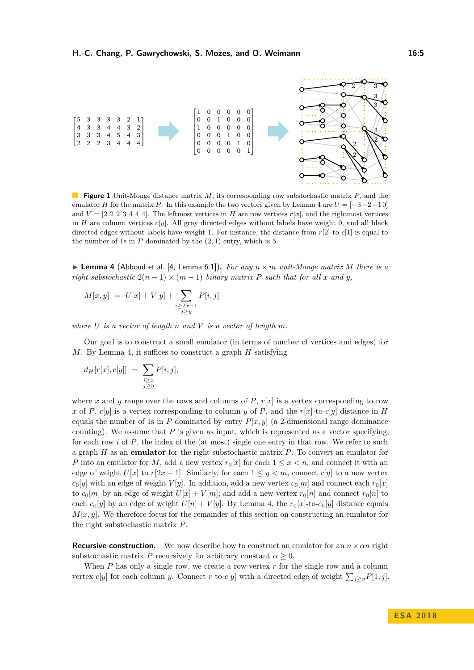

**Figure 1** Unit-Monge distance matrix *M*, its corresponding row substochastic matrix *P*, and the emulator *H* for the matrix *P*. In this example the two vectors given by Lemma [4](#page-4-0) are  $U = [-3 - 2 - 10]$ and  $V = \begin{bmatrix} 2 & 2 & 3 & 4 & 4 \end{bmatrix}$ . The leftmost vertices in *H* are row vertices  $r[x]$ , and the rightmost vertices in *H* are column vertices  $c[y]$ . All gray directed edges without labels have weight 0, and all black directed edges without labels have weight 1. For instance, the distance from *r*[2] to *c*[1] is equal to the number of 1s in *P* dominated by the (2*,* 1)-entry, which is 5.

<span id="page-4-0"></span> $\triangleright$  **Lemma 4** (Abboud et al. [\[4,](#page-13-10) Lemma 6.1]). *For any*  $n \times m$  *unit-Monge matrix M* there is a *right substochastic*  $2(n-1) \times (m-1)$  *binary matrix P such that for all x and y,* 

$$
M[x, y] = U[x] + V[y] + \sum_{\substack{i \ge 2x - 1 \\ j \ge y}} P[i, j]
$$

*where U is a vector of length n and V is a vector of length m.*

Our goal is to construct a small emulator (in terms of number of vertices and edges) for *M*. By Lemma [4,](#page-4-0) it suffices to construct a graph *H* satisfying

$$
d_H[r[x], c[y]] = \sum_{\substack{i \ge x \\ j \ge y}} P[i, j],
$$

where *x* and *y* range over the rows and columns of  $P$ ,  $r[x]$  is a vertex corresponding to row *x* of *P*, *c*[*y*] is a vertex corresponding to column *y* of *P*, and the  $r[x]-to-c[y]$  distance in *H* equals the number of 1s in  $P$  dominated by entry  $P[x, y]$  (a 2-dimensional range dominance counting). We assume that  $P$  is given as input, which is represented as a vector specifying, for each row *i* of *P*, the index of the (at most) single one entry in that row. We refer to such a graph *H* as an **emulator** for the right substochastic matrix *P*. To convert an emulator for *P* into an emulator for *M*, add a new vertex  $r_0[x]$  for each  $1 \leq x \leq n$ , and connect it with an edge of weight  $U[x]$  to  $r[2x - 1]$ . Similarly, for each  $1 \leq y < m$ , connect  $c[y]$  to a new vertex  $c_0[y]$  with an edge of weight *V* [*y*]. In addition, add a new vertex  $c_0[m]$  and connect each  $r_0[x]$ to  $c_0[m]$  by an edge of weight  $U[x] + V[m]$ ; and add a new vertex  $r_0[n]$  and connect  $r_0[n]$  to each  $c_0[y]$  by an edge of weight  $U[n] + V[y]$ . By Lemma [4,](#page-4-0) the  $r_0[x]$ -to- $c_0[y]$  distance equals  $M[x, y]$ . We therefore focus for the remainder of this section on constructing an emulator for the right substochastic matrix *P*.

**Recursive construction.** We now describe how to construct an emulator for an  $n \times \alpha n$  right substochastic matrix *P* recursively for arbitrary constant  $\alpha > 0$ .

When *P* has only a single row, we create a row vertex *r* for the single row and a column vertex *c*[*y*] for each column *y*. Connect *r* to *c*[*y*] with a directed edge of weight  $\sum_{j\geq y} P[1, j]$ .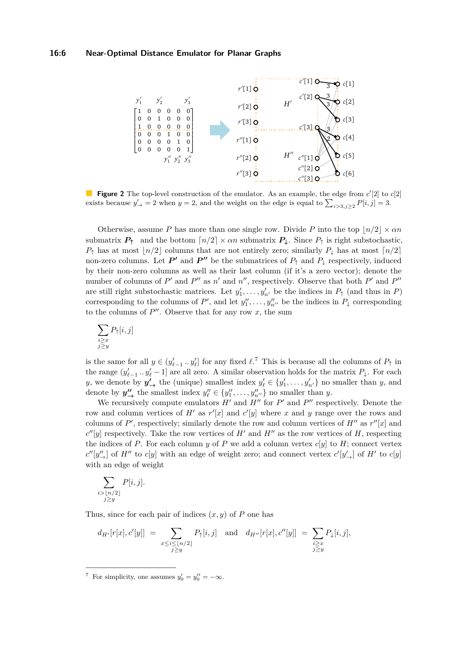## **16:6 Near-Optimal Distance Emulator for Planar Graphs**



**Figure 2** The top-level construction of the emulator. As an example, the edge from  $c'[2]$  to  $c[2]$ exists because  $y'_{\rightarrow} = 2$  when  $y = 2$ , and the weight on the edge is equal to  $\sum_{i>3,j\geq 2} P[i,j] = 3$ .

Otherwise, assume *P* has more than one single row. Divide *P* into the top  $|n/2| \times \alpha n$ submatrix  $P_{\uparrow}$  and the bottom  $\lceil n/2 \rceil \times \alpha n$  submatrix  $P_{\downarrow}$ . Since  $P_{\uparrow}$  is right substochastic,  $P_{\uparrow}$  has at most  $\lfloor n/2 \rfloor$  columns that are not entirely zero; similarly  $P_{\downarrow}$  has at most  $\lfloor n/2 \rfloor$ non-zero columns. Let  $P'$  and  $P''$  be the submatrices of  $P_{\uparrow}$  and  $P_{\downarrow}$  respectively, induced by their non-zero columns as well as their last column (if it's a zero vector); denote the number of columns of  $P'$  and  $P''$  as  $n'$  and  $n''$ , respectively. Observe that both  $P'$  and  $P''$ are still right substochastic matrices. Let  $y'_1, \ldots, y'_{n'}$  be the indices in  $P_{\uparrow}$  (and thus in *P*) corresponding to the columns of  $P'$ , and let  $y''_1, \ldots, y''_{n''}$  be the indices in  $P_{\downarrow}$  corresponding to the columns of  $P''$ . Observe that for any row  $x$ , the sum

$$
\sum_{\substack{i \ge x \\ j \ge y}} P_{\uparrow}[i, j]
$$

is the same for all  $y \in (y'_{\ell-1} \dots y'_{\ell}]$  for any fixed  $\ell$ <sup>[7](#page-5-0)</sup>. This is because all the columns of  $P_{\uparrow}$  in the range  $(y'_{\ell-1} \tcdot y'_{\ell} - 1]$  are all zero. A similar observation holds for the matrix  $P_{\downarrow}$ . For each *y*, we denote by  $y'$ , the (unique) smallest index  $y'_{\ell} \in \{y'_1, \ldots, y'_{n'}\}$  no smaller than *y*, and denote by  $y''_{\rightarrow}$  the smallest index  $y''_{\ell} \in \{y''_1, \ldots, y''_{n''}\}\)$  no smaller than *y*.

We recursively compute emulators  $H'$  and  $H''$  for  $P'$  and  $P''$  respectively. Denote the row and column vertices of  $H'$  as  $r'[x]$  and  $c'[y]$  where x and y range over the rows and columns of  $P'$ , respectively; similarly denote the row and column vertices of  $H''$  as  $r''[x]$  and  $c''[y]$  respectively. Take the row vertices of *H*<sup>0</sup> and *H*<sup>0</sup> as the row vertices of *H*, respecting the indices of P. For each column  $y$  of P we add a column vertex  $c[y]$  to H; connect vertex  $c''[y''_{\rightarrow}]$  of *H*<sup>n</sup> to *c*[*y*] with an edge of weight zero; and connect vertex  $c'[y'_{\rightarrow}]$  of *H*<sup>n</sup> to *c*[*y*] with an edge of weight

$$
\sum_{\substack{i > \lfloor n/2 \rfloor \\ j \ge y}} P[i, j].
$$

Thus, since for each pair of indices (*x, y*) of *P* one has

$$
d_{H'}[r[x], c'[y]] = \sum_{\substack{x \le i \le \lfloor n/2 \rfloor \\ j \ge y}} P_{\uparrow}[i, j] \text{ and } d_{H''}[r[x], c''[y]] = \sum_{\substack{i \ge x \\ j \ge y}} P_{\downarrow}[i, j],
$$

<span id="page-5-0"></span><sup>7</sup> For simplicity, one assumes  $y'_0 = y''_0 = -\infty$ .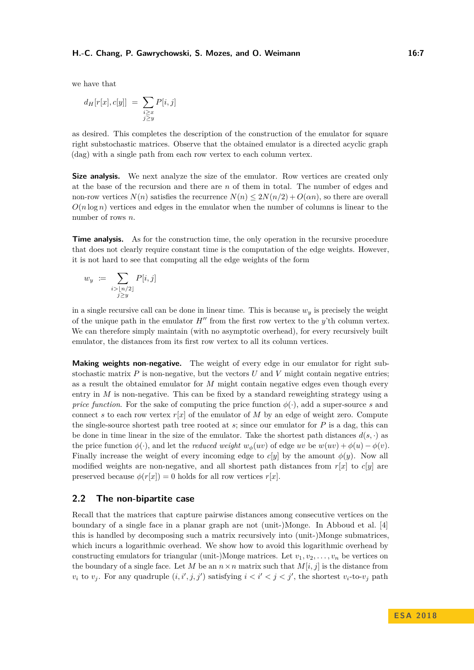we have that

$$
d_H[r[x],c[y]] = \sum_{\substack{i \ge x \\ j \ge y}} P[i,j]
$$

as desired. This completes the description of the construction of the emulator for square right substochastic matrices. Observe that the obtained emulator is a directed acyclic graph (dag) with a single path from each row vertex to each column vertex.

Size analysis. We next analyze the size of the emulator. Row vertices are created only at the base of the recursion and there are *n* of them in total. The number of edges and non-row vertices  $N(n)$  satisfies the recurrence  $N(n) \leq 2N(n/2) + O(\alpha n)$ , so there are overall  $O(n \log n)$  vertices and edges in the emulator when the number of columns is linear to the number of rows *n*.

**Time analysis.** As for the construction time, the only operation in the recursive procedure that does not clearly require constant time is the computation of the edge weights. However, it is not hard to see that computing all the edge weights of the form

$$
w_y := \sum_{\substack{i > \lfloor n/2 \rfloor \\ j \ge y}} P[i, j]
$$

in a single recursive call can be done in linear time. This is because *w<sup>y</sup>* is precisely the weight of the unique path in the emulator  $H''$  from the first row vertex to the *y*'th column vertex. We can therefore simply maintain (with no asymptotic overhead), for every recursively built emulator, the distances from its first row vertex to all its column vertices.

**Making weights non-negative.** The weight of every edge in our emulator for right substochastic matrix  $P$  is non-negative, but the vectors  $U$  and  $V$  might contain negative entries; as a result the obtained emulator for *M* might contain negative edges even though every entry in *M* is non-negative. This can be fixed by a standard reweighting strategy using a *price function*. For the sake of computing the price function  $\phi(\cdot)$ , add a super-source *s* and connect *s* to each row vertex  $r[x]$  of the emulator of *M* by an edge of weight zero. Compute the single-source shortest path tree rooted at *s*; since our emulator for *P* is a dag, this can be done in time linear in the size of the emulator. Take the shortest path distances  $d(s, \cdot)$  as the price function  $\phi(\cdot)$ , and let the *reduced weight*  $w_{\phi}(uv)$  of edge  $uv$  be  $w(uv) + \phi(u) - \phi(v)$ . Finally increase the weight of every incoming edge to  $c[y]$  by the amount  $\phi(y)$ . Now all modified weights are non-negative, and all shortest path distances from  $r[x]$  to  $c[y]$  are preserved because  $\phi(r[x]) = 0$  holds for all row vertices  $r[x]$ .

## **2.2 The non-bipartite case**

Recall that the matrices that capture pairwise distances among consecutive vertices on the boundary of a single face in a planar graph are not (unit-)Monge. In Abboud et al. [\[4\]](#page-13-10) this is handled by decomposing such a matrix recursively into (unit-)Monge submatrices, which incurs a logarithmic overhead. We show how to avoid this logarithmic overhead by constructing emulators for triangular (unit-)Monge matrices. Let  $v_1, v_2, \ldots, v_n$  be vertices on the boundary of a single face. Let *M* be an  $n \times n$  matrix such that  $M[i, j]$  is the distance from  $v_i$  to  $v_j$ . For any quadruple  $(i, i', j, j')$  satisfying  $i < i' < j < j'$ , the shortest  $v_i$ -to- $v_j$  path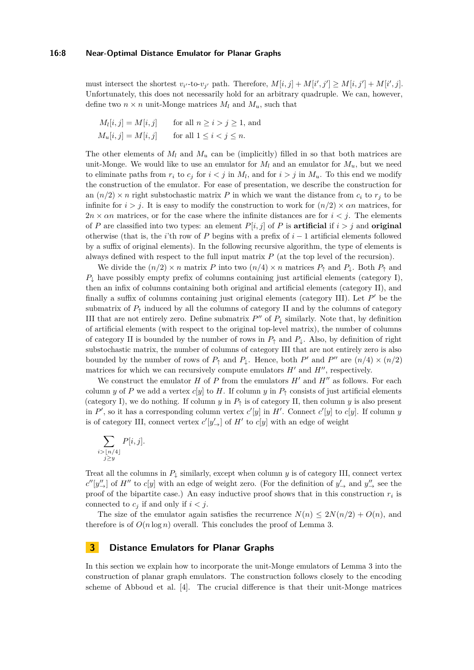## **16:8 Near-Optimal Distance Emulator for Planar Graphs**

must intersect the shortest  $v_{i'}$ -to- $v_{j'}$  path. Therefore,  $M[i, j] + M[i', j'] \ge M[i, j'] + M[i', j]$ . Unfortunately, this does not necessarily hold for an arbitrary quadruple. We can, however, define two  $n \times n$  unit-Monge matrices  $M_l$  and  $M_u$ , such that

$$
M_l[i, j] = M[i, j] \quad \text{for all } n \ge i > j \ge 1, \text{ and}
$$
  

$$
M_u[i, j] = M[i, j] \quad \text{for all } 1 \le i < j \le n.
$$

The other elements of  $M_l$  and  $M_u$  can be (implicitly) filled in so that both matrices are unit-Monge. We would like to use an emulator for  $M_l$  and an emulator for  $M_u$ , but we need to eliminate paths from  $r_i$  to  $c_j$  for  $i < j$  in  $M_l$ , and for  $i > j$  in  $M_u$ . To this end we modify the construction of the emulator. For ease of presentation, we describe the construction for an  $(n/2) \times n$  right substochastic matrix P in which we want the distance from  $c_i$  to  $r_j$  to be infinite for  $i > j$ . It is easy to modify the construction to work for  $(n/2) \times \alpha n$  matrices, for  $2n \times \alpha n$  matrices, or for the case where the infinite distances are for  $i < j$ . The elements of *P* are classified into two types: an element  $P[i, j]$  of *P* is **artificial** if  $i > j$  and **original** otherwise (that is, the *i*'th row of *P* begins with a prefix of *i* − 1 artificial elements followed by a suffix of original elements). In the following recursive algorithm, the type of elements is always defined with respect to the full input matrix *P* (at the top level of the recursion).

We divide the  $(n/2) \times n$  matrix *P* into two  $(n/4) \times n$  matrices  $P_{\uparrow}$  and  $P_{\downarrow}$ . Both  $P_{\uparrow}$  and  $P_{\perp}$  have possibly empty prefix of columns containing just artificial elements (category I), then an infix of columns containing both original and artificial elements (category II), and finally a suffix of columns containing just original elements (category III). Let  $P'$  be the submatrix of  $P_{\uparrow}$  induced by all the columns of category II and by the columns of category III that are not entirely zero. Define submatrix  $P''$  of  $P_{\downarrow}$  similarly. Note that, by definition of artificial elements (with respect to the original top-level matrix), the number of columns of category II is bounded by the number of rows in  $P_{\uparrow}$  and  $P_{\downarrow}$ . Also, by definition of right substochastic matrix, the number of columns of category III that are not entirely zero is also bounded by the number of rows of  $P_1$  and  $P_1$ . Hence, both  $P'$  and  $P''$  are  $(n/4) \times (n/2)$ matrices for which we can recursively compute emulators  $H'$  and  $H''$ , respectively.

We construct the emulator  $H$  of  $P$  from the emulators  $H'$  and  $H''$  as follows. For each column *y* of *P* we add a vertex *c*[*y*] to *H*. If column *y* in  $P_†$  consists of just artificial elements (category I), we do nothing. If column *y* in  $P_+$  is of category II, then column *y* is also present in  $P'$ , so it has a corresponding column vertex  $c'[y]$  in  $H'$ . Connect  $c'[y]$  to  $c[y]$ . If column *y* is of category III, connect vertex  $c'[y'_{\rightharpoonup}]$  of  $H'$  to  $c[y]$  with an edge of weight

$$
\sum_{\substack{i > \lfloor n/4 \rfloor \\ j \ge y}} P[i, j].
$$

Treat all the columns in  $P_{\downarrow}$  similarly, except when column *y* is of category III, connect vertex  $c''[y''_{\rightarrow}]$  of *H*<sup>n</sup> to *c*[*y*] with an edge of weight zero. (For the definition of  $y'_{\rightarrow}$  and  $y''_{\rightarrow}$  see the proof of the bipartite case.) An easy inductive proof shows that in this construction *r<sup>i</sup>* is connected to  $c_i$  if and only if  $i < j$ .

The size of the emulator again satisfies the recurrence  $N(n) \leq 2N(n/2) + O(n)$ , and therefore is of  $O(n \log n)$  overall. This concludes the proof of Lemma [3.](#page-3-1)

## <span id="page-7-0"></span>**3 Distance Emulators for Planar Graphs**

In this section we explain how to incorporate the unit-Monge emulators of Lemma [3](#page-3-1) into the construction of planar graph emulators. The construction follows closely to the encoding scheme of Abboud et al. [\[4\]](#page-13-10). The crucial difference is that their unit-Monge matrices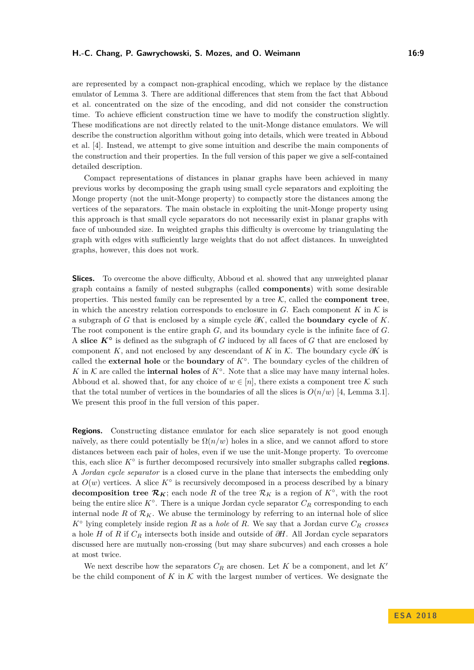are represented by a compact non-graphical encoding, which we replace by the distance emulator of Lemma [3.](#page-3-1) There are additional differences that stem from the fact that Abboud et al. concentrated on the size of the encoding, and did not consider the construction time. To achieve efficient construction time we have to modify the construction slightly. These modifications are not directly related to the unit-Monge distance emulators. We will describe the construction algorithm without going into details, which were treated in Abboud et al. [\[4\]](#page-13-10). Instead, we attempt to give some intuition and describe the main components of the construction and their properties. In the full version of this paper we give a self-contained detailed description.

Compact representations of distances in planar graphs have been achieved in many previous works by decomposing the graph using small cycle separators and exploiting the Monge property (not the unit-Monge property) to compactly store the distances among the vertices of the separators. The main obstacle in exploiting the unit-Monge property using this approach is that small cycle separators do not necessarily exist in planar graphs with face of unbounded size. In weighted graphs this difficulty is overcome by triangulating the graph with edges with sufficiently large weights that do not affect distances. In unweighted graphs, however, this does not work.

**Slices.** To overcome the above difficulty, Abboud et al. showed that any unweighted planar graph contains a family of nested subgraphs (called **components**) with some desirable properties. This nested family can be represented by a tree  $K$ , called the **component tree**, in which the ancestry relation corresponds to enclosure in *G*. Each component *K* in  $K$  is a subgraph of *G* that is enclosed by a simple cycle *∂K*, called the **boundary cycle** of *K*. The root component is the entire graph *G*, and its boundary cycle is the infinite face of *G*. A **slice** *K***◦** is defined as the subgraph of *G* induced by all faces of *G* that are enclosed by component *K*, and not enclosed by any descendant of *K* in K. The boundary cycle *∂K* is called the **external hole** or the **boundary** of *K*◦ . The boundary cycles of the children of K in K are called the **internal holes** of  $K^{\circ}$ . Note that a slice may have many internal holes. Abboud et al. showed that, for any choice of  $w \in [n]$ , there exists a component tree K such that the total number of vertices in the boundaries of all the slices is  $O(n/w)$  [\[4,](#page-13-10) Lemma 3.1]. We present this proof in the full version of this paper.

**Regions.** Constructing distance emulator for each slice separately is not good enough naïvely, as there could potentially be  $\Omega(n/w)$  holes in a slice, and we cannot afford to store distances between each pair of holes, even if we use the unit-Monge property. To overcome this, each slice *K*◦ is further decomposed recursively into smaller subgraphs called **regions**. A *Jordan cycle separator* is a closed curve in the plane that intersects the embedding only at  $O(w)$  vertices. A slice  $K^{\circ}$  is recursively decomposed in a process described by a binary **decomposition tree**  $\mathcal{R}_K$ ; each node R of the tree  $\mathcal{R}_K$  is a region of  $K^{\circ}$ , with the root being the entire slice *K*◦ . There is a unique Jordan cycle separator *C<sup>R</sup>* corresponding to each internal node  $R$  of  $\mathcal{R}_K$ . We abuse the terminology by referring to an internal hole of slice *K*◦ lying completely inside region *R* as a *hole* of *R*. We say that a Jordan curve *C<sup>R</sup> crosses* a hole *H* of *R* if *C<sup>R</sup>* intersects both inside and outside of *∂H*. All Jordan cycle separators discussed here are mutually non-crossing (but may share subcurves) and each crosses a hole at most twice.

We next describe how the separators  $C_R$  are chosen. Let  $K$  be a component, and let  $K'$ be the child component of  $K$  in  $K$  with the largest number of vertices. We designate the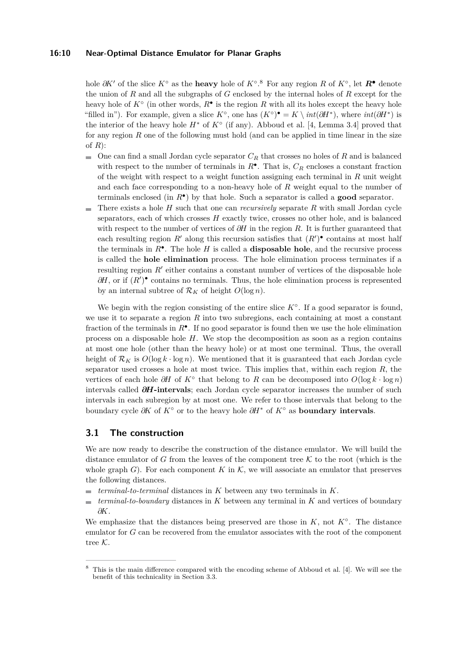## **16:10 Near-Optimal Distance Emulator for Planar Graphs**

hole  $\partial K'$  of the slice  $K^{\circ}$  as the **heavy** hole of  $K^{\circ}$ .<sup>[8](#page-9-0)</sup> For any region R of  $K^{\circ}$ , let  $\mathbb{R}^{\bullet}$  denote the union of *R* and all the subgraphs of *G* enclosed by the internal holes of *R* except for the heavy hole of  $K^{\circ}$  (in other words,  $R^{\bullet}$  is the region  $R$  with all its holes except the heavy hole "filled in"). For example, given a slice  $K^{\circ}$ , one has  $(K^{\circ})^{\bullet} = K \setminus int(\partial H^*)$ , where  $int(\partial H^*)$  is the interior of the heavy hole  $H^*$  of  $K^{\circ}$  (if any). Abboud et al. [\[4,](#page-13-10) Lemma 3.4] proved that for any region *R* one of the following must hold (and can be applied in time linear in the size of *R*):

- $\blacksquare$  One can find a small Jordan cycle separator  $C_R$  that crosses no holes of R and is balanced with respect to the number of terminals in  $R^{\bullet}$ . That is,  $C_R$  encloses a constant fraction of the weight with respect to a weight function assigning each terminal in *R* unit weight and each face corresponding to a non-heavy hole of *R* weight equal to the number of terminals enclosed (in *R*• ) by that hole. Such a separator is called a **good** separator.
- There exists a hole *H* such that one can *recursively* separate *R* with small Jordan cycle  $\sim$ separators, each of which crosses *H* exactly twice, crosses no other hole, and is balanced with respect to the number of vertices of *∂H* in the region *R*. It is further guaranteed that each resulting region  $R'$  along this recursion satisfies that  $(R')^{\bullet}$  contains at most half the terminals in  $R^{\bullet}$ . The hole *H* is called a **disposable hole**, and the recursive process is called the **hole elimination** process. The hole elimination process terminates if a resulting region  $R'$  either contains a constant number of vertices of the disposable hole  $\partial H$ , or if  $(R')^{\bullet}$  contains no terminals. Thus, the hole elimination process is represented by an internal subtree of  $\mathcal{R}_K$  of height  $O(\log n)$ .

We begin with the region consisting of the entire slice  $K^{\circ}$ . If a good separator is found, we use it to separate a region *R* into two subregions, each containing at most a constant fraction of the terminals in *R*• . If no good separator is found then we use the hole elimination process on a disposable hole *H*. We stop the decomposition as soon as a region contains at most one hole (other than the heavy hole) or at most one terminal. Thus, the overall height of  $\mathcal{R}_K$  is  $O(\log k \cdot \log n)$ . We mentioned that it is guaranteed that each Jordan cycle separator used crosses a hole at most twice. This implies that, within each region *R*, the vertices of each hole *∂H* of *K*◦ that belong to *R* can be decomposed into *O*(log *k* · log *n*) intervals called *∂H***-intervals**; each Jordan cycle separator increases the number of such intervals in each subregion by at most one. We refer to those intervals that belong to the boundary cycle *∂K* of *K*◦ or to the heavy hole *∂H*<sup>∗</sup> of *K*◦ as **boundary intervals**.

## **3.1 The construction**

We are now ready to describe the construction of the distance emulator. We will build the distance emulator of *G* from the leaves of the component tree  $K$  to the root (which is the whole graph  $G$ ). For each component  $K$  in  $K$ , we will associate an emulator that preserves the following distances.

- $terminal-to-terminal distances in K between any two terminals in K.$
- *terminal-to-boundary* distances in *K* between any terminal in *K* and vertices of boundary  $\equiv$ *∂K*.

We emphasize that the distances being preserved are those in *K*, not *K*◦ . The distance emulator for *G* can be recovered from the emulator associates with the root of the component tree K.

<span id="page-9-0"></span><sup>8</sup> This is the main difference compared with the encoding scheme of Abboud et al. [\[4\]](#page-13-10). We will see the benefit of this technicality in Section [3.3.](#page-11-0)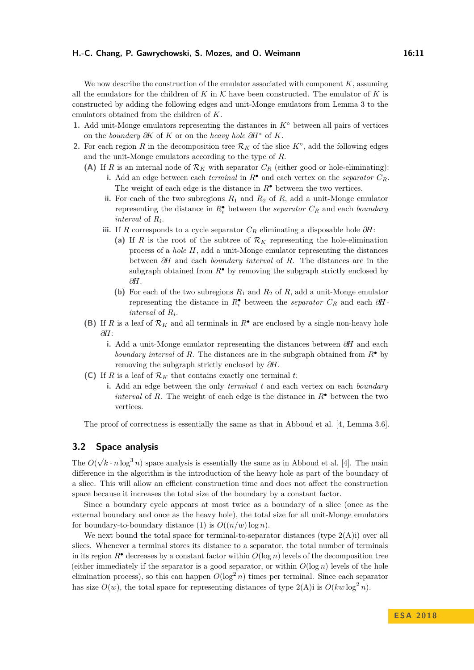We now describe the construction of the emulator associated with component *K*, assuming all the emulators for the children of  $K$  in  $K$  have been constructed. The emulator of  $K$  is constructed by adding the following edges and unit-Monge emulators from Lemma [3](#page-3-1) to the emulators obtained from the children of *K*.

- <span id="page-10-0"></span>1. Add unit-Monge emulators representing the distances in  $K^{\circ}$  between all pairs of vertices on the *boundary ∂K* of *K* or on the *heavy hole ∂H*<sup>∗</sup> of *K*.
- <span id="page-10-3"></span><span id="page-10-2"></span><span id="page-10-1"></span>**2.** For each region *R* in the decomposition tree  $\mathcal{R}_K$  of the slice  $K^{\circ}$ , add the following edges and the unit-Monge emulators according to the type of *R*.
	- (A) If *R* is an internal node of  $\mathcal{R}_K$  with separator  $C_R$  (either good or hole-eliminating): **i.** Add an edge between each *terminal* in  $R^{\bullet}$  and each vertex on the *separator*  $C_R$ . The weight of each edge is the distance in  $R^{\bullet}$  between the two vertices.
		- **ii.** For each of the two subregions  $R_1$  and  $R_2$  of  $R$ , add a unit-Monge emulator representing the distance in  $R_i^{\bullet}$  between the *separator*  $C_R$  and each *boundary interval* of *R<sup>i</sup>* .
		- **iii.** If *R* corresponds to a cycle separator *C<sup>R</sup>* eliminating a disposable hole *∂H*:
			- (a) If *R* is the root of the subtree of  $\mathcal{R}_K$  representing the hole-elimination process of a *hole H*, add a unit-Monge emulator representing the distances between *∂H* and each *boundary interval* of *R*. The distances are in the subgraph obtained from  $R^{\bullet}$  by removing the subgraph strictly enclosed by *∂H*.
			- (b) For each of the two subregions  $R_1$  and  $R_2$  of  $R$ , add a unit-Monge emulator representing the distance in  $R_i^{\bullet}$  between the *separator*  $C_R$  and each  $\partial H$ *interval* of *R<sup>i</sup>* .
	- **(B)** If *R* is a leaf of  $\mathcal{R}_K$  and all terminals in  $R^{\bullet}$  are enclosed by a single non-heavy hole *∂H*:
		- **i.** Add a unit-Monge emulator representing the distances between *∂H* and each *boundary interval* of *R*. The distances are in the subgraph obtained from *R*• by removing the subgraph strictly enclosed by *∂H*.
	- **(C)** If *R* is a leaf of  $\mathcal{R}_K$  that contains exactly one terminal *t*:
		- **i.** Add an edge between the only *terminal t* and each vertex on each *boundary interval* of *R*. The weight of each edge is the distance in  $R^{\bullet}$  between the two vertices.

<span id="page-10-6"></span><span id="page-10-5"></span><span id="page-10-4"></span>The proof of correctness is essentially the same as that in Abboud et al. [\[4,](#page-13-10) Lemma 3.6].

# <span id="page-10-7"></span>**3.2 Space analysis**

The *O*(  $\sqrt{k \cdot n} \log^3 n$  space analysis is essentially the same as in Abboud et al. [\[4\]](#page-13-10). The main difference in the algorithm is the introduction of the heavy hole as part of the boundary of a slice. This will allow an efficient construction time and does not affect the construction space because it increases the total size of the boundary by a constant factor.

Since a boundary cycle appears at most twice as a boundary of a slice (once as the external boundary and once as the heavy hole), the total size for all unit-Monge emulators for boundary-to-boundary distance [\(1\)](#page-10-0) is  $O((n/w) \log n)$ .

We next bound the total space for terminal-to-separator distances (type  $2(A)i$ ) over all slices. Whenever a terminal stores its distance to a separator, the total number of terminals in its region  $R^{\bullet}$  decreases by a constant factor within  $O(\log n)$  levels of the decomposition tree (either immediately if the separator is a good separator, or within  $O(\log n)$  levels of the hole elimination process), so this can happen  $O(\log^2 n)$  times per terminal. Since each separator has size  $O(w)$ , the total space for representing distances of type  $2(A)$ i is  $O(kw \log^2 n)$ .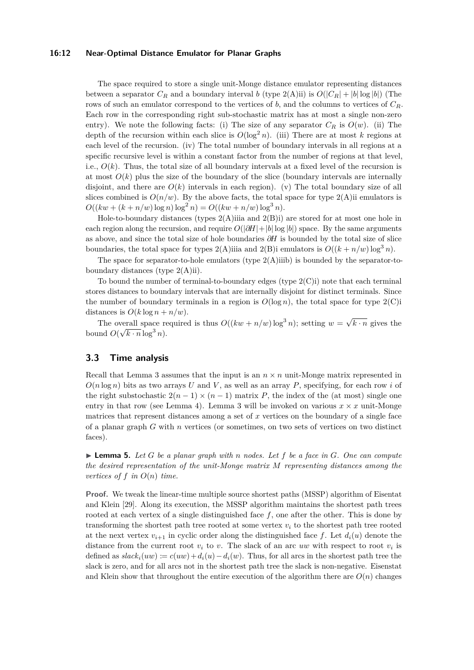## **16:12 Near-Optimal Distance Emulator for Planar Graphs**

The space required to store a single unit-Monge distance emulator representing distances between a separator  $C_R$  and a boundary interval *b* (type [2\(A\)ii\)](#page-10-2) is  $O(|C_R| + |b| \log |b|)$  (The rows of such an emulator correspond to the vertices of *b*, and the columns to vertices of *CR*. Each row in the corresponding right sub-stochastic matrix has at most a single non-zero entry). We note the following facts: (i) The size of any separator  $C_R$  is  $O(w)$ . (ii) The depth of the recursion within each slice is  $O(\log^2 n)$ . (iii) There are at most *k* regions at each level of the recursion. (iv) The total number of boundary intervals in all regions at a specific recursive level is within a constant factor from the number of regions at that level, i.e.,  $O(k)$ . Thus, the total size of all boundary intervals at a fixed level of the recursion is at most  $O(k)$  plus the size of the boundary of the slice (boundary intervals are internally disjoint, and there are  $O(k)$  intervals in each region). (v) The total boundary size of all slices combined is  $O(n/w)$ . By the above facts, the total space for type  $2(A)$ ii emulators is  $O((kw + (k + n/w) \log n) \log^2 n) = O((kw + n/w) \log^3 n).$ 

Hole-to-boundary distances (types  $2(A)$ iiia and  $2(B)$ i) are stored for at most one hole in each region along the recursion, and require  $O(|\partial H|+|b|\log|b|)$  space. By the same arguments as above, and since the total size of hole boundaries *∂H* is bounded by the total size of slice boundaries, the total space for types  $2(A)$ iiia and  $2(B)$ i emulators is  $O((k + n/w) \log^3 n)$ .

The space for separator-to-hole emulators (type  $2(A)$ iiib) is bounded by the separator-toboundary distances (type [2\(A\)ii\)](#page-10-2).

To bound the number of terminal-to-boundary edges (type  $2(C)i$ ) note that each terminal stores distances to boundary intervals that are internally disjoint for distinct terminals. Since the number of boundary terminals in a region is  $O(\log n)$ , the total space for type  $2(C)i$ distances is  $O(k \log n + n/w)$ .

The overall space required is thus  $O((kw + n/w) \log^3 n)$ ; setting  $w = \sqrt{ }$ verall space required is thus  $O((kw + n/w) \log^3 n)$ ; setting  $w = \sqrt{k \cdot n}$  gives the bound  $O(\sqrt{k \cdot n} \log^3 n)$ .

# <span id="page-11-0"></span>**3.3 Time analysis**

Recall that Lemma [3](#page-3-1) assumes that the input is an  $n \times n$  unit-Monge matrix represented in  $O(n \log n)$  bits as two arrays *U* and *V*, as well as an array *P*, specifying, for each row *i* of the right substochastic  $2(n-1) \times (n-1)$  matrix *P*, the index of the (at most) single one entry in that row (see Lemma [4\)](#page-4-0). Lemma [3](#page-3-1) will be invoked on various  $x \times x$  unit-Monge matrices that represent distances among a set of *x* vertices on the boundary of a single face of a planar graph *G* with *n* vertices (or sometimes, on two sets of vertices on two distinct faces).

<span id="page-11-1"></span> $\blacktriangleright$  **Lemma 5.** Let *G* be a planar graph with *n* nodes. Let *f* be a face in *G*. One can compute *the desired representation of the unit-Monge matrix M representing distances among the vertices of*  $f$  *in*  $O(n)$  *time.* 

**Proof.** We tweak the linear-time multiple source shortest paths (MSSP) algorithm of Eisentat and Klein [\[29\]](#page-14-14). Along its execution, the MSSP algorithm maintains the shortest path trees rooted at each vertex of a single distinguished face *f*, one after the other. This is done by transforming the shortest path tree rooted at some vertex  $v_i$  to the shortest path tree rooted at the next vertex  $v_{i+1}$  in cyclic order along the distinguished face f. Let  $d_i(u)$  denote the distance from the current root  $v_i$  to  $v$ . The slack of an arc  $uw$  with respect to root  $v_i$  is defined as  $slack_i(uw) := c(uw) + d_i(u) - d_i(w)$ . Thus, for all arcs in the shortest path tree the slack is zero, and for all arcs not in the shortest path tree the slack is non-negative. Eisenstat and Klein show that throughout the entire execution of the algorithm there are  $O(n)$  changes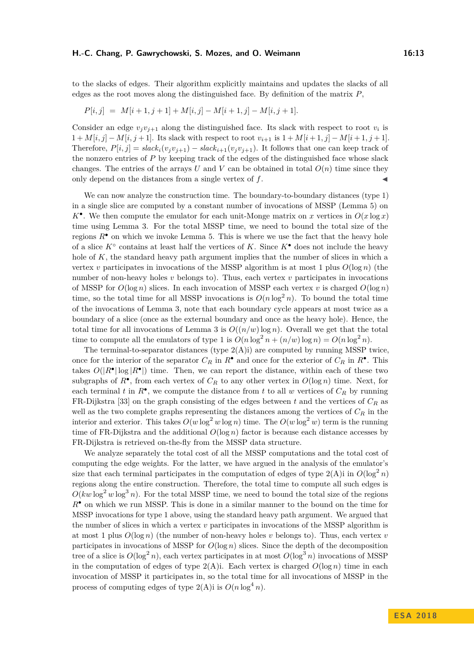to the slacks of edges. Their algorithm explicitly maintains and updates the slacks of all edges as the root moves along the distinguished face. By definition of the matrix *P*,

$$
P[i,j] = M[i+1,j+1] + M[i,j] - M[i+1,j] - M[i,j+1].
$$

Consider an edge  $v_j v_{j+1}$  along the distinguished face. Its slack with respect to root  $v_i$  is  $1 + M[i, j] - M[i, j + 1]$ . Its slack with respect to root  $v_{i+1}$  is  $1 + M[i + 1, j] - M[i + 1, j + 1]$ . Therefore,  $P[i, j] = slack_i(v_jv_{j+1}) - slack_{i+1}(v_jv_{j+1})$ . It follows that one can keep track of the nonzero entries of *P* by keeping track of the edges of the distinguished face whose slack changes. The entries of the arrays *U* and *V* can be obtained in total  $O(n)$  time since they only depend on the distances from a single vertex of  $f$ .

We can now analyze the construction time. The boundary-to-boundary distances (type [1\)](#page-10-0) in a single slice are computed by a constant number of invocations of MSSP (Lemma [5\)](#page-11-1) on  $K^{\bullet}$ . We then compute the emulator for each unit-Monge matrix on *x* vertices in  $O(x \log x)$ time using Lemma [3.](#page-3-1) For the total MSSP time, we need to bound the total size of the regions  $R^{\bullet}$  on which we invoke Lemma [5.](#page-11-1) This is where we use the fact that the heavy hole of a slice *K*◦ contains at least half the vertices of *K*. Since *K*• does not include the heavy hole of *K*, the standard heavy path argument implies that the number of slices in which a vertex *v* participates in invocations of the MSSP algorithm is at most 1 plus  $O(\log n)$  (the number of non-heavy holes *v* belongs to). Thus, each vertex *v* participates in invocations of MSSP for  $O(\log n)$  slices. In each invocation of MSSP each vertex *v* is charged  $O(\log n)$ time, so the total time for all MSSP invocations is  $O(n \log^2 n)$ . To bound the total time of the invocations of Lemma [3,](#page-3-1) note that each boundary cycle appears at most twice as a boundary of a slice (once as the external boundary and once as the heavy hole). Hence, the total time for all invocations of Lemma [3](#page-3-1) is  $O((n/w)\log n)$ . Overall we get that the total time to compute all the emulators of type [1](#page-10-0) is  $O(n \log^2 n + (n/w) \log n) = O(n \log^2 n)$ .

The terminal-to-separator distances (type  $2(A)i$ ) are computed by running MSSP twice, once for the interior of the separator  $C_R$  in  $R^{\bullet}$  and once for the exterior of  $C_R$  in  $R^{\bullet}$ . This takes  $O(|R^{\bullet}| \log |R^{\bullet}|)$  time. Then, we can report the distance, within each of these two subgraphs of  $R^{\bullet}$ , from each vertex of  $C_R$  to any other vertex in  $O(\log n)$  time. Next, for each terminal *t* in  $R^{\bullet}$ , we compute the distance from *t* to all *w* vertices of  $C_R$  by running FR-Dijkstra [\[33\]](#page-14-16) on the graph consisting of the edges between *t* and the vertices of *C<sup>R</sup>* as well as the two complete graphs representing the distances among the vertices of *C<sup>R</sup>* in the interior and exterior. This takes  $O(w \log^2 w \log n)$  time. The  $O(w \log^2 w)$  term is the running time of FR-Dijkstra and the additional  $O(\log n)$  factor is because each distance accesses by FR-Dijkstra is retrieved on-the-fly from the MSSP data structure.

We analyze separately the total cost of all the MSSP computations and the total cost of computing the edge weights. For the latter, we have argued in the analysis of the emulator's size that each terminal participates in the computation of edges of type  $2(A)$ i in  $O(\log^2 n)$ regions along the entire construction. Therefore, the total time to compute all such edges is  $O(kw \log^2 w \log^3 n)$ . For the total MSSP time, we need to bound the total size of the regions *R*• on which we run MSSP. This is done in a similar manner to the bound on the time for MSSP invocations for type [1](#page-10-0) above, using the standard heavy path argument. We argued that the number of slices in which a vertex *v* participates in invocations of the MSSP algorithm is at most 1 plus  $O(\log n)$  (the number of non-heavy holes *v* belongs to). Thus, each vertex *v* participates in invocations of MSSP for  $O(\log n)$  slices. Since the depth of the decomposition tree of a slice is  $O(\log^2 n)$ , each vertex participates in at most  $O(\log^3 n)$  invocations of MSSP in the computation of edges of type  $2(A)$ i. Each vertex is charged  $O(\log n)$  time in each invocation of MSSP it participates in, so the total time for all invocations of MSSP in the process of computing edges of type  $2(A)$ i is  $O(n \log^4 n)$ .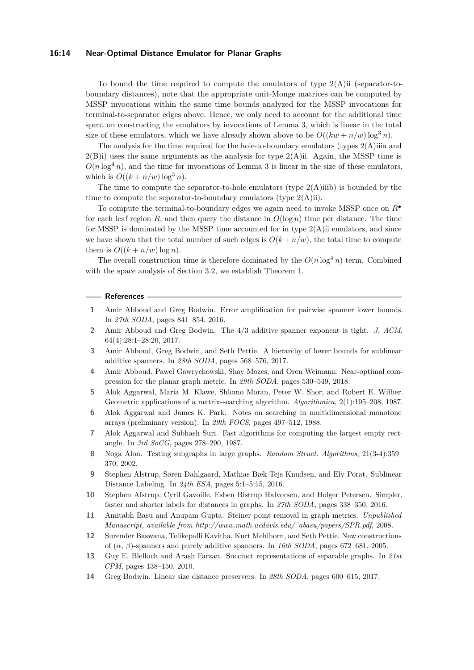## **16:14 Near-Optimal Distance Emulator for Planar Graphs**

To bound the time required to compute the emulators of type  $2(A)$ ii (separator-toboundary distances), note that the appropriate unit-Monge matrices can be computed by MSSP invocations within the same time bounds analyzed for the MSSP invocations for terminal-to-separator edges above. Hence, we only need to account for the additional time spent on constructing the emulators by invocations of Lemma [3,](#page-3-1) which is linear in the total size of these emulators, which we have already shown above to be  $O((kw + n/w) \log^3 n)$ .

The analysis for the time required for the hole-to-boundary emulators (types  $2(A)$ )iiia and  $2(B)$ i) uses the same arguments as the analysis for type  $2(A)$ ii. Again, the MSSP time is  $O(n \log^4 n)$ , and the time for invocations of Lemma [3](#page-3-1) is linear in the size of these emulators, which is  $O((k + n/w) \log^3 n)$ .

The time to compute the separator-to-hole emulators (type  $2(A)$ iiib) is bounded by the time to compute the separator-to-boundary emulators (type  $2(A)$ ii).

To compute the terminal-to-boundary edges we again need to invoke MSSP once on *R*• for each leaf region R, and then query the distance in  $O(\log n)$  time per distance. The time for MSSP is dominated by the MSSP time accounted for in type  $2(A)$ ii emulators, and since we have shown that the total number of such edges is  $O(k + n/w)$ , the total time to compute them is  $O((k+n/w) \log n)$ .

The overall construction time is therefore dominated by the  $O(n \log^4 n)$  term. Combined with the space analysis of Section [3.2,](#page-10-7) we establish Theorem [1.](#page-2-1)

#### **References**

- <span id="page-13-3"></span>**1** Amir Abboud and Greg Bodwin. Error amplification for pairwise spanner lower bounds. In *27th SODA*, pages 841–854, 2016.
- <span id="page-13-4"></span>**2** Amir Abboud and Greg Bodwin. The 4/3 additive spanner exponent is tight. *J. ACM*, 64(4):28:1–28:20, 2017.
- <span id="page-13-5"></span>**3** Amir Abboud, Greg Bodwin, and Seth Pettie. A hierarchy of lower bounds for sublinear additive spanners. In *28th SODA*, pages 568–576, 2017.
- <span id="page-13-10"></span>**4** Amir Abboud, Pawel Gawrychowski, Shay Mozes, and Oren Weimann. Near-optimal compression for the planar graph metric. In *29th SODA*, pages 530–549, 2018.
- <span id="page-13-13"></span>**5** Alok Aggarwal, Maria M. Klawe, Shlomo Moran, Peter W. Shor, and Robert E. Wilber. Geometric applications of a matrix-searching algorithm. *Algorithmica*, 2(1):195–208, 1987.
- <span id="page-13-11"></span>**6** Alok Aggarwal and James K. Park. Notes on searching in multidimensional monotone arrays (preliminary version). In *29th FOCS*, pages 497–512, 1988.
- <span id="page-13-12"></span>**7** Alok Aggarwal and Subhash Suri. Fast algorithms for computing the largest empty rectangle. In *3rd SoCG*, pages 278–290, 1987.
- <span id="page-13-2"></span>**8** Noga Alon. Testing subgraphs in large graphs. *Random Struct. Algorithms*, 21(3-4):359– 370, 2002.
- <span id="page-13-8"></span>**9** Stephen Alstrup, Søren Dahlgaard, Mathias Bæk Tejs Knudsen, and Ely Porat. Sublinear Distance Labeling. In *24th ESA*, pages 5:1–5:15, 2016.
- <span id="page-13-9"></span>**10** Stephen Alstrup, Cyril Gavoille, Esben Bistrup Halvorsen, and Holger Petersen. Simpler, faster and shorter labels for distances in graphs. In *27th SODA*, pages 338–350, 2016.
- <span id="page-13-7"></span>**11** Amitabh Basu and Anupam Gupta. Steiner point removal in graph metrics. *Unpublished Manuscript, available from http://www.math.ucdavis.edu/˜abasu/papers/SPR.pdf*, 2008.
- <span id="page-13-6"></span>**12** Surender Baswana, Telikepalli Kavitha, Kurt Mehlhorn, and Seth Pettie. New constructions of (*α*, *β*)-spanners and purely additive spanners. In *16th SODA*, pages 672–681, 2005.
- <span id="page-13-0"></span>**13** Guy E. Blelloch and Arash Farzan. Succinct representations of separable graphs. In *21st CPM*, pages 138–150, 2010.
- <span id="page-13-1"></span>**14** Greg Bodwin. Linear size distance preservers. In *28th SODA*, pages 600–615, 2017.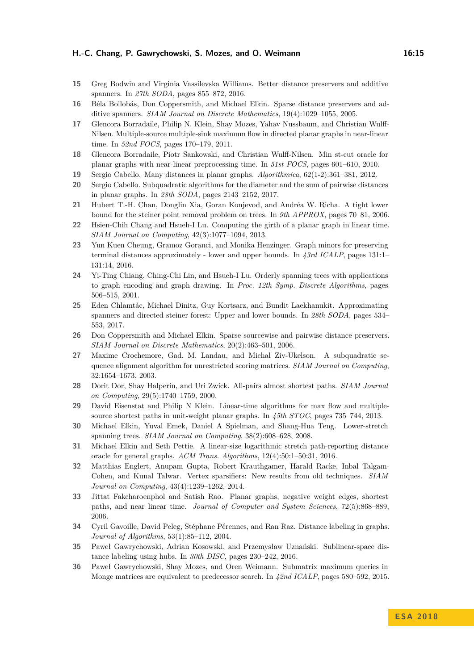- <span id="page-14-4"></span>**15** Greg Bodwin and Virginia Vassilevska Williams. Better distance preservers and additive spanners. In *27th SODA*, pages 855–872, 2016.
- <span id="page-14-1"></span>**16** Béla Bollobás, Don Coppersmith, and Michael Elkin. Sparse distance preservers and additive spanners. *SIAM Journal on Discrete Mathematics*, 19(4):1029–1055, 2005.
- <span id="page-14-18"></span>**17** Glencora Borradaile, Philip N. Klein, Shay Mozes, Yahav Nussbaum, and Christian Wulff-Nilsen. Multiple-source multiple-sink maximum flow in directed planar graphs in near-linear time. In *52nd FOCS*, pages 170–179, 2011.
- <span id="page-14-19"></span>**18** Glencora Borradaile, Piotr Sankowski, and Christian Wulff-Nilsen. Min st-cut oracle for planar graphs with near-linear preprocessing time. In *51st FOCS*, pages 601–610, 2010.
- <span id="page-14-15"></span>**19** Sergio Cabello. Many distances in planar graphs. *Algorithmica*, 62(1-2):361–381, 2012.
- <span id="page-14-17"></span>**20** Sergio Cabello. Subquadratic algorithms for the diameter and the sum of pairwise distances in planar graphs. In *28th SODA*, pages 2143–2152, 2017.
- <span id="page-14-9"></span>**21** Hubert T.-H. Chan, Donglin Xia, Goran Konjevod, and Andréa W. Richa. A tight lower bound for the steiner point removal problem on trees. In *9th APPROX*, pages 70–81, 2006.
- <span id="page-14-13"></span>**22** Hsien-Chih Chang and Hsueh-I Lu. Computing the girth of a planar graph in linear time. *SIAM Journal on Computing*, 42(3):1077–1094, 2013.
- <span id="page-14-12"></span>**23** Yun Kuen Cheung, Gramoz Goranci, and Monika Henzinger. Graph minors for preserving terminal distances approximately - lower and upper bounds. In *43rd ICALP*, pages 131:1– 131:14, 2016.
- <span id="page-14-0"></span>**24** Yi-Ting Chiang, Ching-Chi Lin, and Hsueh-I Lu. Orderly spanning trees with applications to graph encoding and graph drawing. In *Proc. 12th Symp. Discrete Algorithms*, pages 506–515, 2001.
- <span id="page-14-3"></span>**25** Eden Chlamtác, Michael Dinitz, Guy Kortsarz, and Bundit Laekhanukit. Approximating spanners and directed steiner forest: Upper and lower bounds. In *28th SODA*, pages 534– 553, 2017.
- <span id="page-14-2"></span>**26** Don Coppersmith and Michael Elkin. Sparse sourcewise and pairwise distance preservers. *SIAM Journal on Discrete Mathematics*, 20(2):463–501, 2006.
- <span id="page-14-21"></span>**27** Maxime Crochemore, Gad. M. Landau, and Michal Ziv-Ukelson. A subquadratic sequence alignment algorithm for unrestricted scoring matrices. *SIAM Journal on Computing*, 32:1654–1673, 2003.
- <span id="page-14-5"></span>**28** Dorit Dor, Shay Halperin, and Uri Zwick. All-pairs almost shortest paths. *SIAM Journal on Computing*, 29(5):1740–1759, 2000.
- <span id="page-14-14"></span>**29** David Eisenstat and Philip N Klein. Linear-time algorithms for max flow and multiplesource shortest paths in unit-weight planar graphs. In *45th STOC*, pages 735–744, 2013.
- <span id="page-14-10"></span>**30** Michael Elkin, Yuval Emek, Daniel A Spielman, and Shang-Hua Teng. Lower-stretch spanning trees. *SIAM Journal on Computing*, 38(2):608–628, 2008.
- <span id="page-14-6"></span>**31** Michael Elkin and Seth Pettie. A linear-size logarithmic stretch path-reporting distance oracle for general graphs. *ACM Trans. Algorithms*, 12(4):50:1–50:31, 2016.
- <span id="page-14-11"></span>**32** Matthias Englert, Anupam Gupta, Robert Krauthgamer, Harald Racke, Inbal Talgam-Cohen, and Kunal Talwar. Vertex sparsifiers: New results from old techniques. *SIAM Journal on Computing*, 43(4):1239–1262, 2014.
- <span id="page-14-16"></span>**33** Jittat Fakcharoenphol and Satish Rao. Planar graphs, negative weight edges, shortest paths, and near linear time. *Journal of Computer and System Sciences*, 72(5):868–889, 2006.
- <span id="page-14-7"></span>**34** Cyril Gavoille, David Peleg, Stéphane Pérennes, and Ran Raz. Distance labeling in graphs. *Journal of Algorithms*, 53(1):85–112, 2004.
- <span id="page-14-8"></span>**35** Paweł Gawrychowski, Adrian Kosowski, and Przemysław Uznański. Sublinear-space distance labeling using hubs. In *30th DISC*, pages 230–242, 2016.
- <span id="page-14-20"></span>**36** Paweł Gawrychowski, Shay Mozes, and Oren Weimann. Submatrix maximum queries in Monge matrices are equivalent to predecessor search. In *42nd ICALP*, pages 580–592, 2015.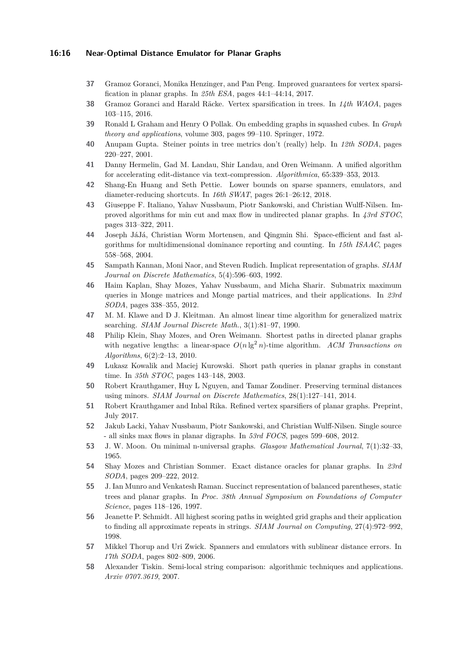## **16:16 Near-Optimal Distance Emulator for Planar Graphs**

- <span id="page-15-8"></span>**37** Gramoz Goranci, Monika Henzinger, and Pan Peng. Improved guarantees for vertex sparsification in planar graphs. In *25th ESA*, pages 44:1–44:14, 2017.
- <span id="page-15-7"></span>**38** Gramoz Goranci and Harald Räcke. Vertex sparsification in trees. In *14th WAOA*, pages 103–115, 2016.
- <span id="page-15-4"></span>**39** Ronald L Graham and Henry O Pollak. On embedding graphs in squashed cubes. In *Graph theory and applications*, volume 303, pages 99–110. Springer, 1972.
- <span id="page-15-2"></span>**40** Anupam Gupta. Steiner points in tree metrics don't (really) help. In *12th SODA*, pages 220–227, 2001.
- <span id="page-15-19"></span>**41** Danny Hermelin, Gad M. Landau, Shir Landau, and Oren Weimann. A unified algorithm for accelerating edit-distance via text-compression. *Algorithmica*, 65:339–353, 2013.
- <span id="page-15-1"></span>**42** Shang-En Huang and Seth Pettie. Lower bounds on sparse spanners, emulators, and diameter-reducing shortcuts. In *16th SWAT*, pages 26:1–26:12, 2018.
- <span id="page-15-13"></span>**43** Giuseppe F. Italiano, Yahav Nussbaum, Piotr Sankowski, and Christian Wulff-Nilsen. Improved algorithms for min cut and max flow in undirected planar graphs. In *43rd STOC*, pages 313–322, 2011.
- <span id="page-15-21"></span>**44** Joseph JáJá, Christian Worm Mortensen, and Qingmin Shi. Space-efficient and fast algorithms for multidimensional dominance reporting and counting. In *15th ISAAC*, pages 558–568, 2004.
- <span id="page-15-6"></span>**45** Sampath Kannan, Moni Naor, and Steven Rudich. Implicat representation of graphs. *SIAM Journal on Discrete Mathematics*, 5(4):596–603, 1992.
- <span id="page-15-16"></span>**46** Haim Kaplan, Shay Mozes, Yahav Nussbaum, and Micha Sharir. Submatrix maximum queries in Monge matrices and Monge partial matrices, and their applications. In *23rd SODA*, pages 338–355, 2012.
- <span id="page-15-17"></span>**47** M. M. Klawe and D J. Kleitman. An almost linear time algorithm for generalized matrix searching. *SIAM Journal Discrete Math.*, 3(1):81–97, 1990.
- <span id="page-15-14"></span>**48** Philip Klein, Shay Mozes, and Oren Weimann. Shortest paths in directed planar graphs with negative lengths: a linear-space  $O(n \lg^2 n)$ -time algorithm. *ACM Transactions on Algorithms*, 6(2):2–13, 2010.
- <span id="page-15-11"></span>**49** Lukasz Kowalik and Maciej Kurowski. Short path queries in planar graphs in constant time. In *35th STOC*, pages 143–148, 2003.
- <span id="page-15-10"></span>**50** Robert Krauthgamer, Huy L Nguyen, and Tamar Zondiner. Preserving terminal distances using minors. *SIAM Journal on Discrete Mathematics*, 28(1):127–141, 2014.
- <span id="page-15-9"></span>**51** Robert Krauthgamer and Inbal Rika. Refined vertex sparsifiers of planar graphs. Preprint, July 2017.
- <span id="page-15-15"></span>**52** Jakub Lacki, Yahav Nussbaum, Piotr Sankowski, and Christian Wulff-Nilsen. Single source - all sinks max flows in planar digraphs. In *53rd FOCS*, pages 599–608, 2012.
- <span id="page-15-5"></span>**53** J. W. Moon. On minimal n-universal graphs. *Glasgow Mathematical Journal*, 7(1):32–33, 1965.
- <span id="page-15-12"></span>**54** Shay Mozes and Christian Sommer. Exact distance oracles for planar graphs. In *23rd SODA*, pages 209–222, 2012.
- <span id="page-15-0"></span>**55** J. Ian Munro and Venkatesh Raman. Succinct representation of balanced parentheses, static trees and planar graphs. In *Proc. 38th Annual Symposium on Foundations of Computer Science*, pages 118–126, 1997.
- <span id="page-15-18"></span>**56** Jeanette P. Schmidt. All highest scoring paths in weighted grid graphs and their application to finding all approximate repeats in strings. *SIAM Journal on Computing*, 27(4):972–992, 1998.
- <span id="page-15-3"></span>**57** Mikkel Thorup and Uri Zwick. Spanners and emulators with sublinear distance errors. In *17th SODA*, pages 802–809, 2006.
- <span id="page-15-20"></span>**58** Alexander Tiskin. Semi-local string comparison: algorithmic techniques and applications. *Arxiv 0707.3619*, 2007.